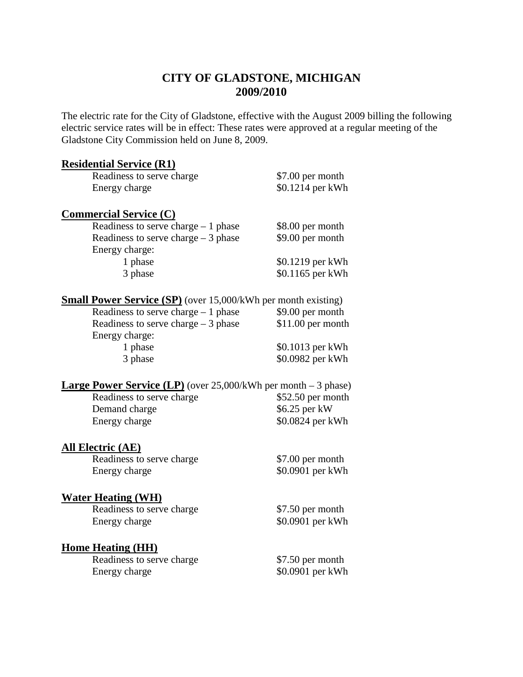# **CITY OF GLADSTONE, MICHIGAN 2009/2010**

The electric rate for the City of Gladstone, effective with the August 2009 billing the following electric service rates will be in effect: These rates were approved at a regular meeting of the Gladstone City Commission held on June 8, 2009.

#### **Residential Service (R1)**

| Readiness to serve charge | \$7.00 per month |
|---------------------------|------------------|
| Energy charge             | \$0.1214 per kWh |
| $\cdot$ $\cdot$ $\sim$    |                  |

### **Commercial Service (C)**

| Readiness to serve charge $-1$ phase | \$8.00 per month |
|--------------------------------------|------------------|
| Readiness to serve charge $-3$ phase | \$9.00 per month |
| Energy charge:                       |                  |
| 1 phase                              | \$0.1219 per kWh |
| 3 phase                              | \$0.1165 per kWh |

## **Small Power Service (SP)** (over 15,000/kWh per month existing)

### **Large Power Service (LP)** (over 25,000/kWh per month – 3 phase)

| Readiness to serve charge | $$52.50$ per month |
|---------------------------|--------------------|
| Demand charge             | $$6.25$ per kW     |
| Energy charge             | \$0.0824 per kWh   |

### **All Electric (AE)**

Readiness to serve charge \$7.00 per month Energy charge  $\$0.0901$  per kWh

### **Water Heating (WH)**

Readiness to serve charge \$7.50 per month<br>Energy charge \$0.0901 per kWh

 $$0.0901$  per kWh

# **Home Heating (HH)**

Readiness to serve charge \$7.50 per month Energy charge  $\$0.0901$  per kWh